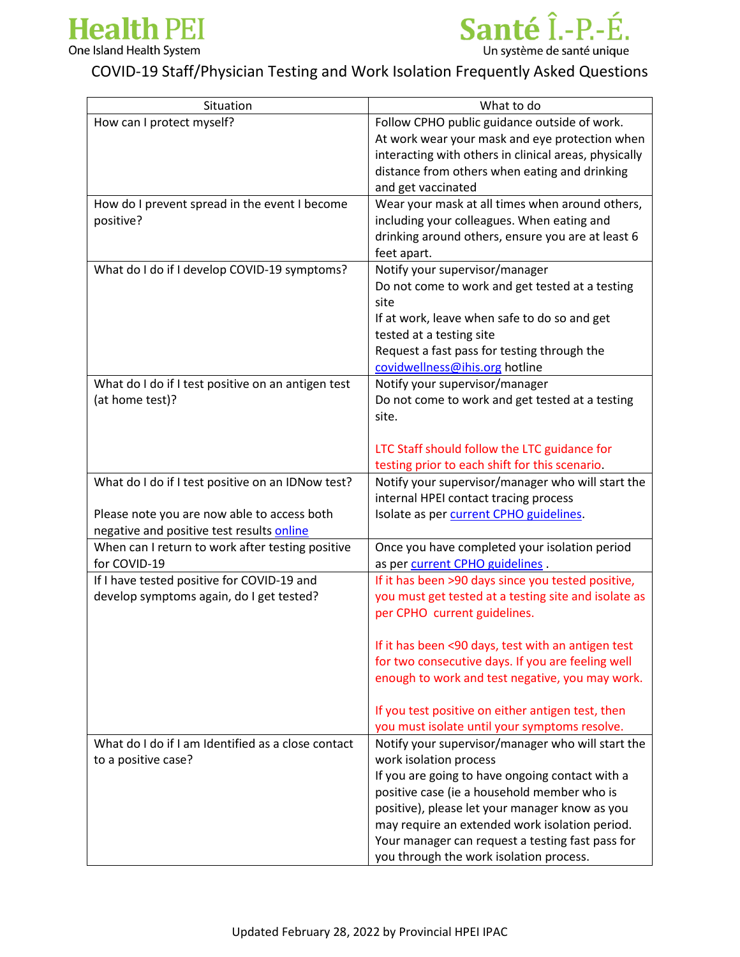



## COVID-19 Staff/Physician Testing and Work Isolation Frequently Asked Questions

| Situation                                          | What to do                                            |
|----------------------------------------------------|-------------------------------------------------------|
| How can I protect myself?                          | Follow CPHO public guidance outside of work.          |
|                                                    | At work wear your mask and eye protection when        |
|                                                    | interacting with others in clinical areas, physically |
|                                                    | distance from others when eating and drinking         |
|                                                    | and get vaccinated                                    |
| How do I prevent spread in the event I become      | Wear your mask at all times when around others,       |
| positive?                                          | including your colleagues. When eating and            |
|                                                    | drinking around others, ensure you are at least 6     |
|                                                    | feet apart.                                           |
| What do I do if I develop COVID-19 symptoms?       | Notify your supervisor/manager                        |
|                                                    | Do not come to work and get tested at a testing       |
|                                                    | site                                                  |
|                                                    | If at work, leave when safe to do so and get          |
|                                                    | tested at a testing site                              |
|                                                    | Request a fast pass for testing through the           |
|                                                    | covidwellness@ihis.org hotline                        |
| What do I do if I test positive on an antigen test | Notify your supervisor/manager                        |
| (at home test)?                                    | Do not come to work and get tested at a testing       |
|                                                    | site.                                                 |
|                                                    |                                                       |
|                                                    | LTC Staff should follow the LTC guidance for          |
|                                                    | testing prior to each shift for this scenario.        |
| What do I do if I test positive on an IDNow test?  | Notify your supervisor/manager who will start the     |
|                                                    | internal HPEI contact tracing process                 |
| Please note you are now able to access both        | Isolate as per current CPHO guidelines.               |
| negative and positive test results online          |                                                       |
| When can I return to work after testing positive   | Once you have completed your isolation period         |
| for COVID-19                                       | as per current CPHO guidelines.                       |
| If I have tested positive for COVID-19 and         | If it has been >90 days since you tested positive,    |
| develop symptoms again, do I get tested?           | you must get tested at a testing site and isolate as  |
|                                                    | per CPHO current guidelines.                          |
|                                                    |                                                       |
|                                                    | If it has been <90 days, test with an antigen test    |
|                                                    | for two consecutive days. If you are feeling well     |
|                                                    | enough to work and test negative, you may work.       |
|                                                    |                                                       |
|                                                    | If you test positive on either antigen test, then     |
|                                                    | you must isolate until your symptoms resolve.         |
| What do I do if I am Identified as a close contact | Notify your supervisor/manager who will start the     |
| to a positive case?                                | work isolation process                                |
|                                                    | If you are going to have ongoing contact with a       |
|                                                    | positive case (ie a household member who is           |
|                                                    | positive), please let your manager know as you        |
|                                                    | may require an extended work isolation period.        |
|                                                    | Your manager can request a testing fast pass for      |
|                                                    | you through the work isolation process.               |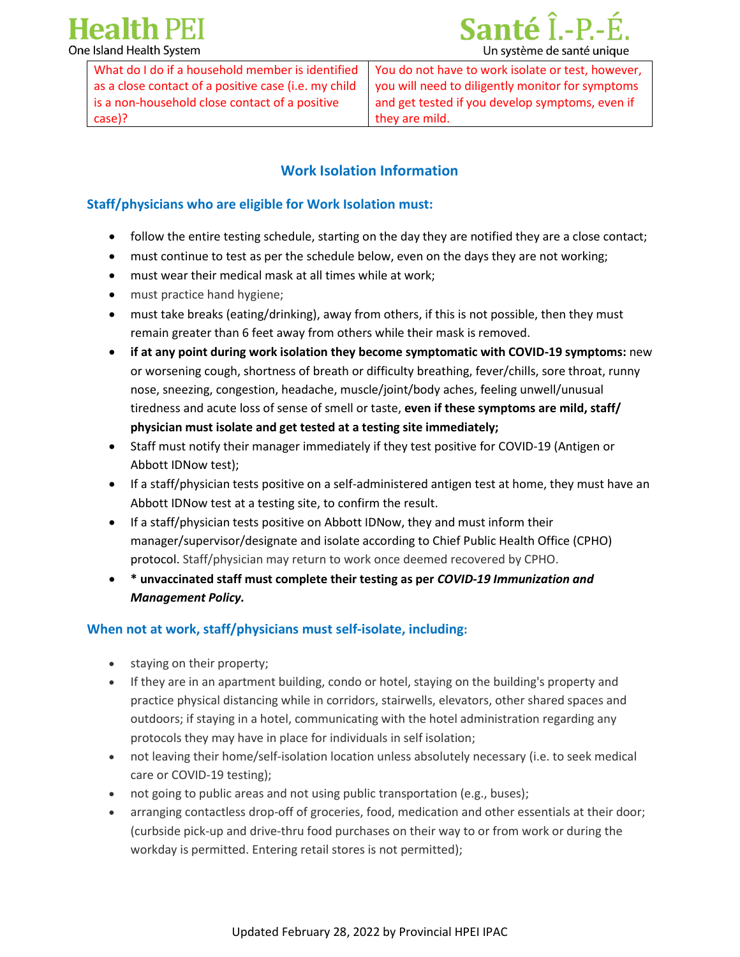**Health PEI** One Island Health System



What do I do if a household member is identified as a close contact of a positive case (i.e. my child is a non-household close contact of a positive case)?

You do not have to work isolate or test, however, you will need to diligently monitor for symptoms and get tested if you develop symptoms, even if they are mild.

## **Work Isolation Information**

#### **Staff/physicians who are eligible for Work Isolation must:**

- follow the entire testing schedule, starting on the day they are notified they are a close contact;
- must continue to test as per the schedule below, even on the days they are not working;
- must wear their medical mask at all times while at work;
- must practice hand hygiene;
- must take breaks (eating/drinking), away from others, if this is not possible, then they must remain greater than 6 feet away from others while their mask is removed.
- **if at any point during work isolation they become symptomatic with COVID-19 symptoms:** new or worsening cough, shortness of breath or difficulty breathing, fever/chills, sore throat, runny nose, sneezing, congestion, headache, muscle/joint/body aches, feeling unwell/unusual tiredness and acute loss of sense of smell or taste, **even if these symptoms are mild, staff/ physician must isolate and get tested at a testing site immediately;**
- Staff must notify their manager immediately if they test positive for COVID-19 (Antigen or Abbott IDNow test);
- If a staff/physician tests positive on a self-administered antigen test at home, they must have an Abbott IDNow test at a testing site, to confirm the result.
- If a staff/physician tests positive on Abbott IDNow, they and must inform their manager/supervisor/designate and isolate according to Chief Public Health Office (CPHO) protocol. Staff/physician may return to work once deemed recovered by CPHO.
- **\* unvaccinated staff must complete their testing as per** *COVID-19 Immunization and Management Policy.*

### **When not at work, staff/physicians must self-isolate, including:**

- staying on their property;
- If they are in an apartment building, condo or hotel, staying on the building's property and practice physical distancing while in corridors, stairwells, elevators, other shared spaces and outdoors; if staying in a hotel, communicating with the hotel administration regarding any protocols they may have in place for individuals in self isolation;
- not leaving their home/self-isolation location unless absolutely necessary (i.e. to seek medical care or COVID-19 testing);
- not going to public areas and not using public transportation (e.g., buses);
- arranging contactless drop-off of groceries, food, medication and other essentials at their door; (curbside pick-up and drive-thru food purchases on their way to or from work or during the workday is permitted. Entering retail stores is not permitted);